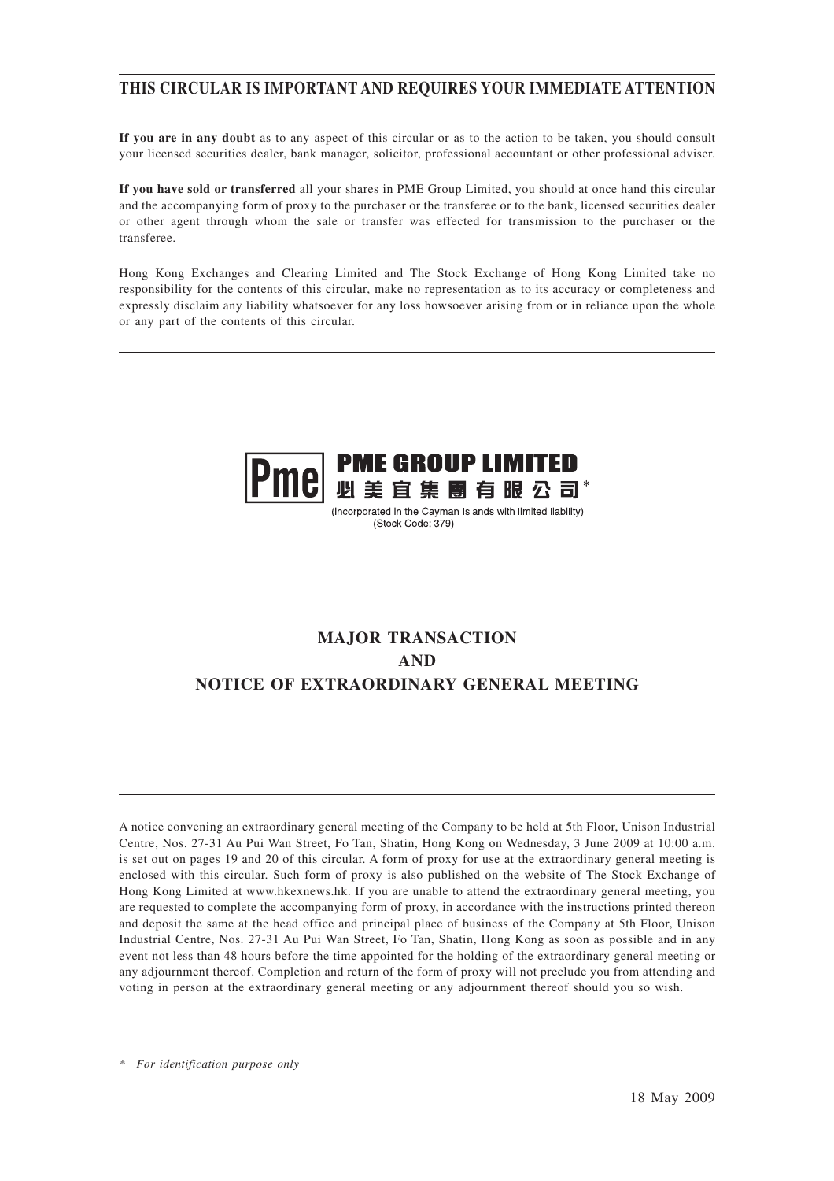## **THIS CIRCULAR IS IMPORTANT AND REQUIRES YOUR IMMEDIATE ATTENTION**

**If you are in any doubt** as to any aspect of this circular or as to the action to be taken, you should consult your licensed securities dealer, bank manager, solicitor, professional accountant or other professional adviser.

**If you have sold or transferred** all your shares in PME Group Limited, you should at once hand this circular and the accompanying form of proxy to the purchaser or the transferee or to the bank, licensed securities dealer or other agent through whom the sale or transfer was effected for transmission to the purchaser or the transferee.

Hong Kong Exchanges and Clearing Limited and The Stock Exchange of Hong Kong Limited take no responsibility for the contents of this circular, make no representation as to its accuracy or completeness and expressly disclaim any liability whatsoever for any loss howsoever arising from or in reliance upon the whole or any part of the contents of this circular.



(incorporated in the Cayman Islands with limited liability) (Stock Code: 379)

## **MAJOR TRANSACTION AND NOTICE OF EXTRAORDINARY GENERAL MEETING**

A notice convening an extraordinary general meeting of the Company to be held at 5th Floor, Unison Industrial Centre, Nos. 27-31 Au Pui Wan Street, Fo Tan, Shatin, Hong Kong on Wednesday, 3 June 2009 at 10:00 a.m. is set out on pages 19 and 20 of this circular. A form of proxy for use at the extraordinary general meeting is enclosed with this circular. Such form of proxy is also published on the website of The Stock Exchange of Hong Kong Limited at www.hkexnews.hk. If you are unable to attend the extraordinary general meeting, you are requested to complete the accompanying form of proxy, in accordance with the instructions printed thereon and deposit the same at the head office and principal place of business of the Company at 5th Floor, Unison Industrial Centre, Nos. 27-31 Au Pui Wan Street, Fo Tan, Shatin, Hong Kong as soon as possible and in any event not less than 48 hours before the time appointed for the holding of the extraordinary general meeting or any adjournment thereof. Completion and return of the form of proxy will not preclude you from attending and voting in person at the extraordinary general meeting or any adjournment thereof should you so wish.

*\* For identification purpose only*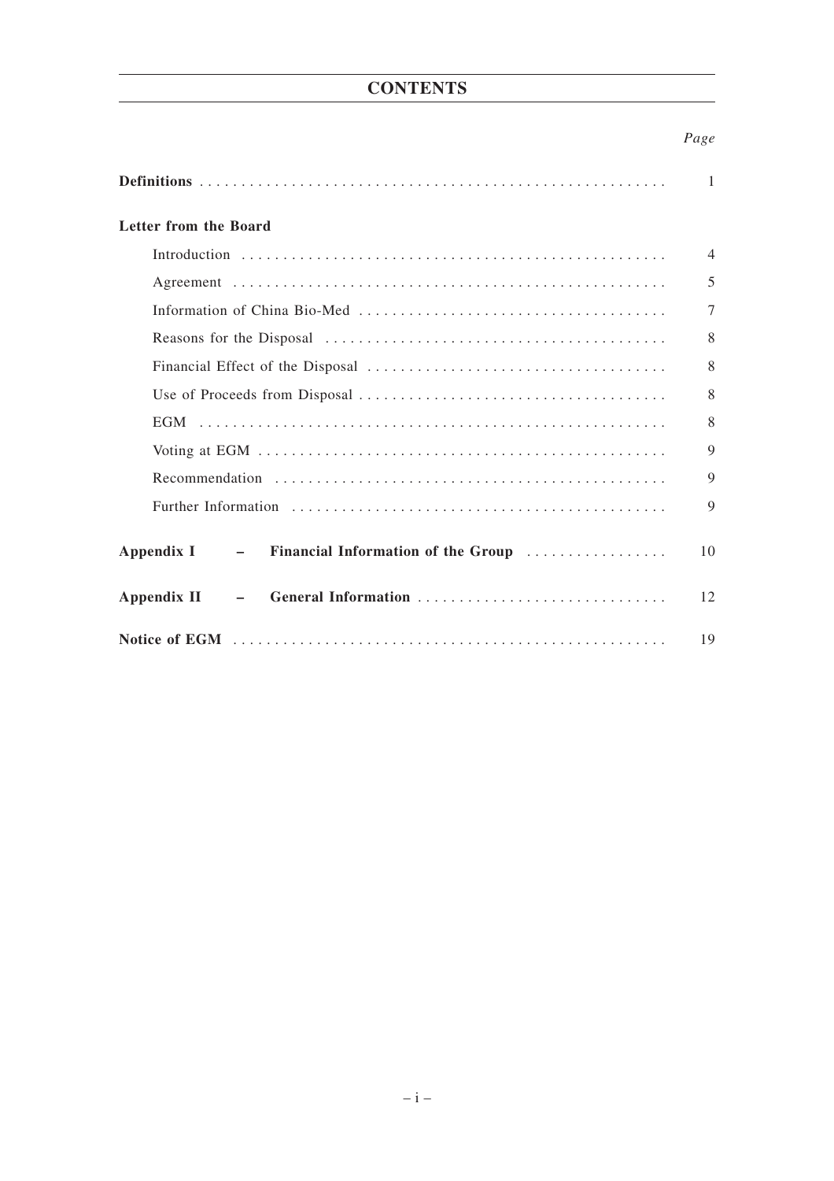## **CONTENTS**

## *Page*

|                                                 | 1              |
|-------------------------------------------------|----------------|
| Letter from the Board                           |                |
|                                                 | $\overline{4}$ |
|                                                 | 5              |
|                                                 | $\overline{7}$ |
|                                                 | 8              |
|                                                 | 8              |
|                                                 | 8              |
|                                                 | 8              |
|                                                 | 9              |
|                                                 | 9              |
|                                                 | 9              |
| Appendix I - Financial Information of the Group | 10             |
| - General Information<br>Appendix II            | 12             |
|                                                 | 19             |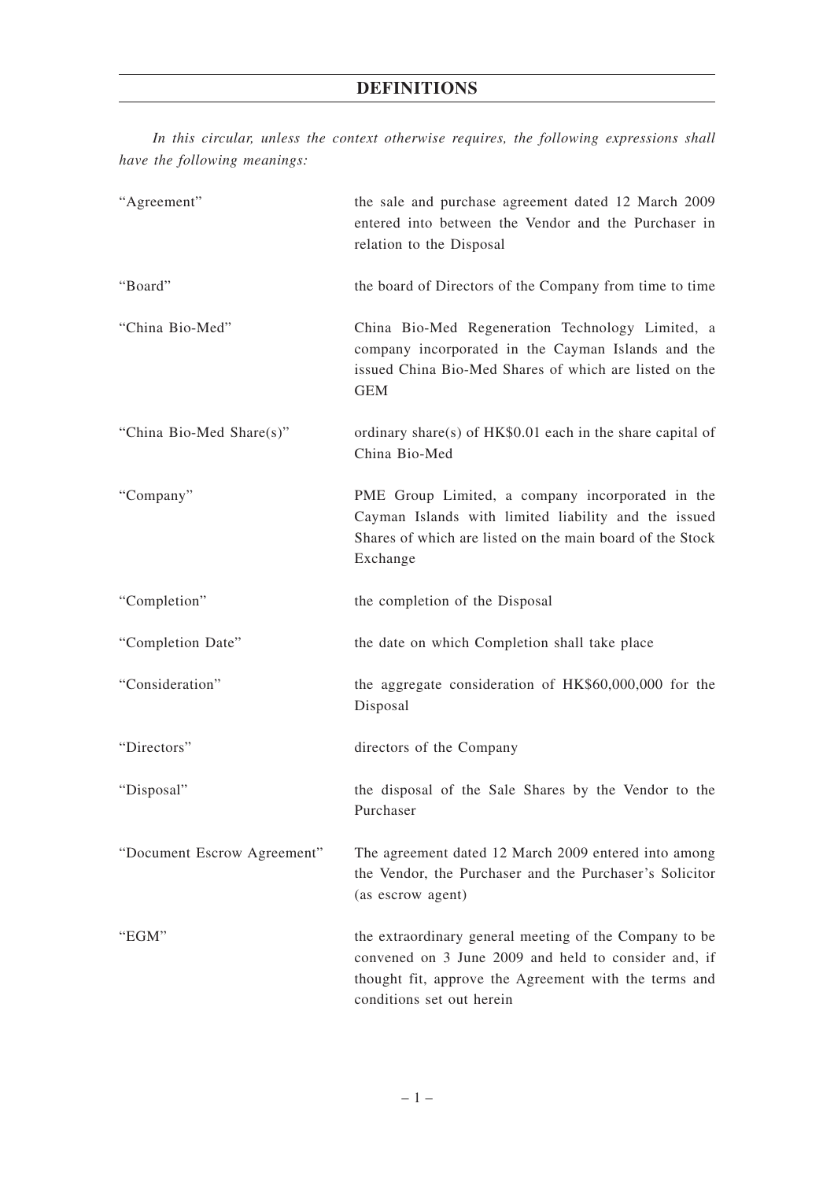*In this circular, unless the context otherwise requires, the following expressions shall have the following meanings:*

| "Agreement"                 | the sale and purchase agreement dated 12 March 2009<br>entered into between the Vendor and the Purchaser in<br>relation to the Disposal                                                              |
|-----------------------------|------------------------------------------------------------------------------------------------------------------------------------------------------------------------------------------------------|
| "Board"                     | the board of Directors of the Company from time to time                                                                                                                                              |
| "China Bio-Med"             | China Bio-Med Regeneration Technology Limited, a<br>company incorporated in the Cayman Islands and the<br>issued China Bio-Med Shares of which are listed on the<br><b>GEM</b>                       |
| "China Bio-Med Share(s)"    | ordinary share(s) of HK\$0.01 each in the share capital of<br>China Bio-Med                                                                                                                          |
| "Company"                   | PME Group Limited, a company incorporated in the<br>Cayman Islands with limited liability and the issued<br>Shares of which are listed on the main board of the Stock<br>Exchange                    |
| "Completion"                | the completion of the Disposal                                                                                                                                                                       |
| "Completion Date"           | the date on which Completion shall take place                                                                                                                                                        |
| "Consideration"             | the aggregate consideration of HK\$60,000,000 for the<br>Disposal                                                                                                                                    |
| "Directors"                 | directors of the Company                                                                                                                                                                             |
| "Disposal"                  | the disposal of the Sale Shares by the Vendor to the<br>Purchaser                                                                                                                                    |
| "Document Escrow Agreement" | The agreement dated 12 March 2009 entered into among<br>the Vendor, the Purchaser and the Purchaser's Solicitor<br>(as escrow agent)                                                                 |
| "EGM"                       | the extraordinary general meeting of the Company to be<br>convened on 3 June 2009 and held to consider and, if<br>thought fit, approve the Agreement with the terms and<br>conditions set out herein |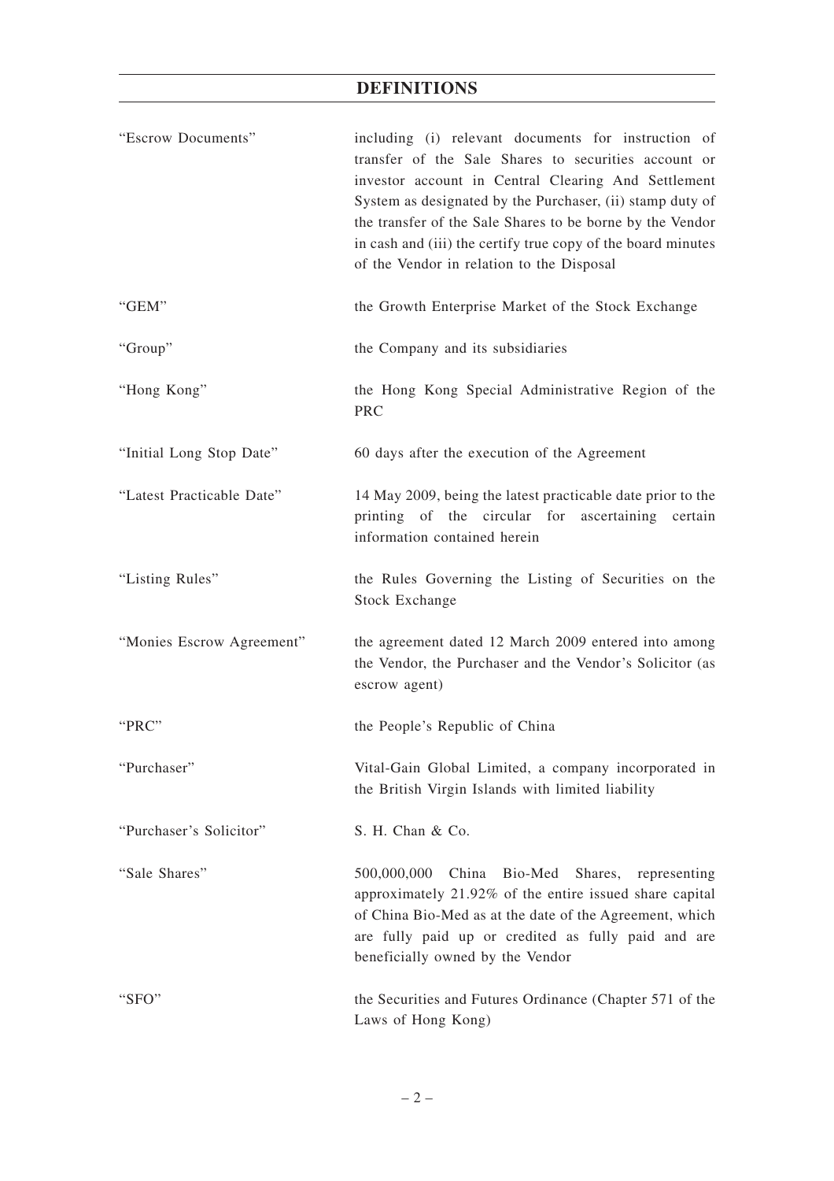## **DEFINITIONS**

| "Escrow Documents"        | including (i) relevant documents for instruction of<br>transfer of the Sale Shares to securities account or<br>investor account in Central Clearing And Settlement<br>System as designated by the Purchaser, (ii) stamp duty of<br>the transfer of the Sale Shares to be borne by the Vendor<br>in cash and (iii) the certify true copy of the board minutes<br>of the Vendor in relation to the Disposal |
|---------------------------|-----------------------------------------------------------------------------------------------------------------------------------------------------------------------------------------------------------------------------------------------------------------------------------------------------------------------------------------------------------------------------------------------------------|
| "GEM"                     | the Growth Enterprise Market of the Stock Exchange                                                                                                                                                                                                                                                                                                                                                        |
| "Group"                   | the Company and its subsidiaries                                                                                                                                                                                                                                                                                                                                                                          |
| "Hong Kong"               | the Hong Kong Special Administrative Region of the<br><b>PRC</b>                                                                                                                                                                                                                                                                                                                                          |
| "Initial Long Stop Date"  | 60 days after the execution of the Agreement                                                                                                                                                                                                                                                                                                                                                              |
| "Latest Practicable Date" | 14 May 2009, being the latest practicable date prior to the<br>printing of the circular for ascertaining<br>certain<br>information contained herein                                                                                                                                                                                                                                                       |
| "Listing Rules"           | the Rules Governing the Listing of Securities on the<br><b>Stock Exchange</b>                                                                                                                                                                                                                                                                                                                             |
| "Monies Escrow Agreement" | the agreement dated 12 March 2009 entered into among<br>the Vendor, the Purchaser and the Vendor's Solicitor (as<br>escrow agent)                                                                                                                                                                                                                                                                         |
| " $PRC$ "                 | the People's Republic of China                                                                                                                                                                                                                                                                                                                                                                            |
| "Purchaser"               | Vital-Gain Global Limited, a company incorporated in<br>the British Virgin Islands with limited liability                                                                                                                                                                                                                                                                                                 |
| "Purchaser's Solicitor"   | S. H. Chan & Co.                                                                                                                                                                                                                                                                                                                                                                                          |
| "Sale Shares"             | Bio-Med<br>500,000,000<br>China<br>Shares, representing<br>approximately 21.92% of the entire issued share capital<br>of China Bio-Med as at the date of the Agreement, which<br>are fully paid up or credited as fully paid and are<br>beneficially owned by the Vendor                                                                                                                                  |
| "SFO"                     | the Securities and Futures Ordinance (Chapter 571 of the<br>Laws of Hong Kong)                                                                                                                                                                                                                                                                                                                            |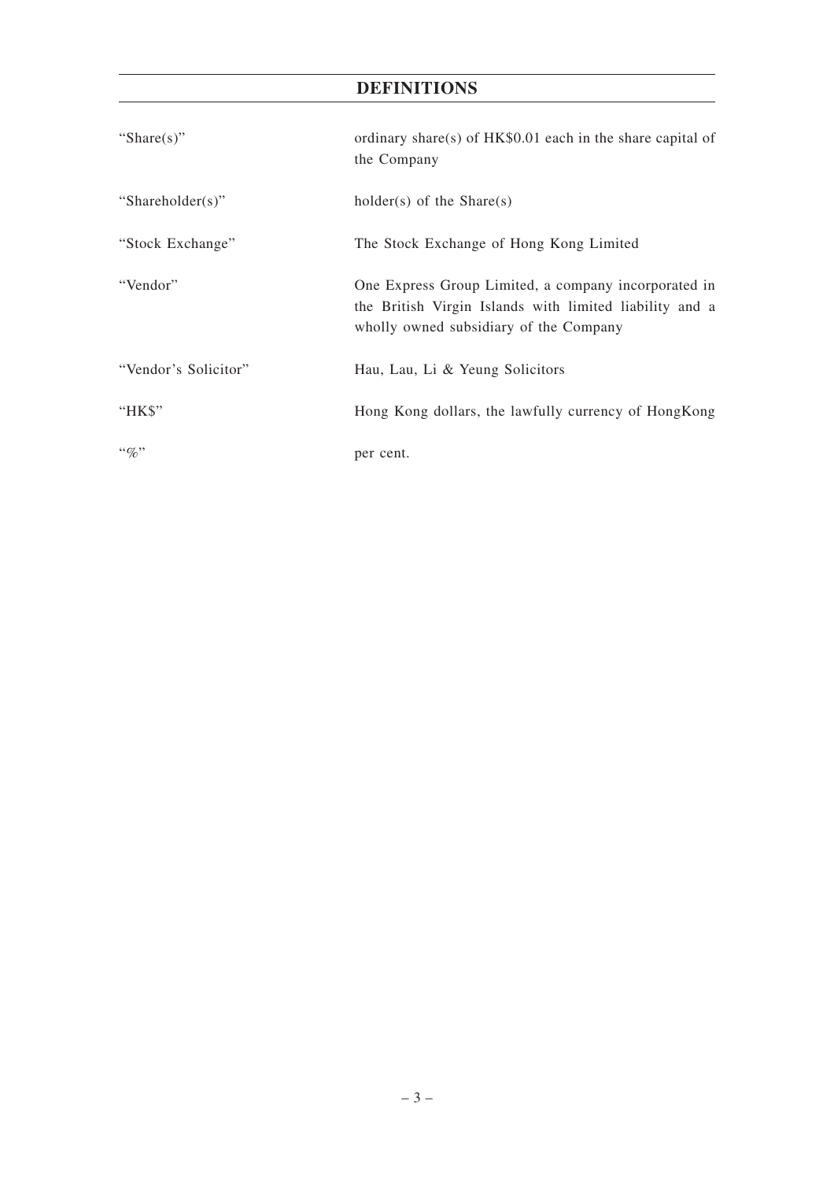## **DEFINITIONS**

| "Share $(s)$ "       | ordinary share(s) of HK\$0.01 each in the share capital of<br>the Company                                                                                 |
|----------------------|-----------------------------------------------------------------------------------------------------------------------------------------------------------|
| "Shareholder(s)"     | $holder(s)$ of the Share $(s)$                                                                                                                            |
| "Stock Exchange"     | The Stock Exchange of Hong Kong Limited                                                                                                                   |
| "Vendor"             | One Express Group Limited, a company incorporated in<br>the British Virgin Islands with limited liability and a<br>wholly owned subsidiary of the Company |
| "Vendor's Solicitor" | Hau, Lau, Li & Yeung Solicitors                                                                                                                           |
| "HK\$"               | Hong Kong dollars, the lawfully currency of HongKong                                                                                                      |
| $``q_0"$             | per cent.                                                                                                                                                 |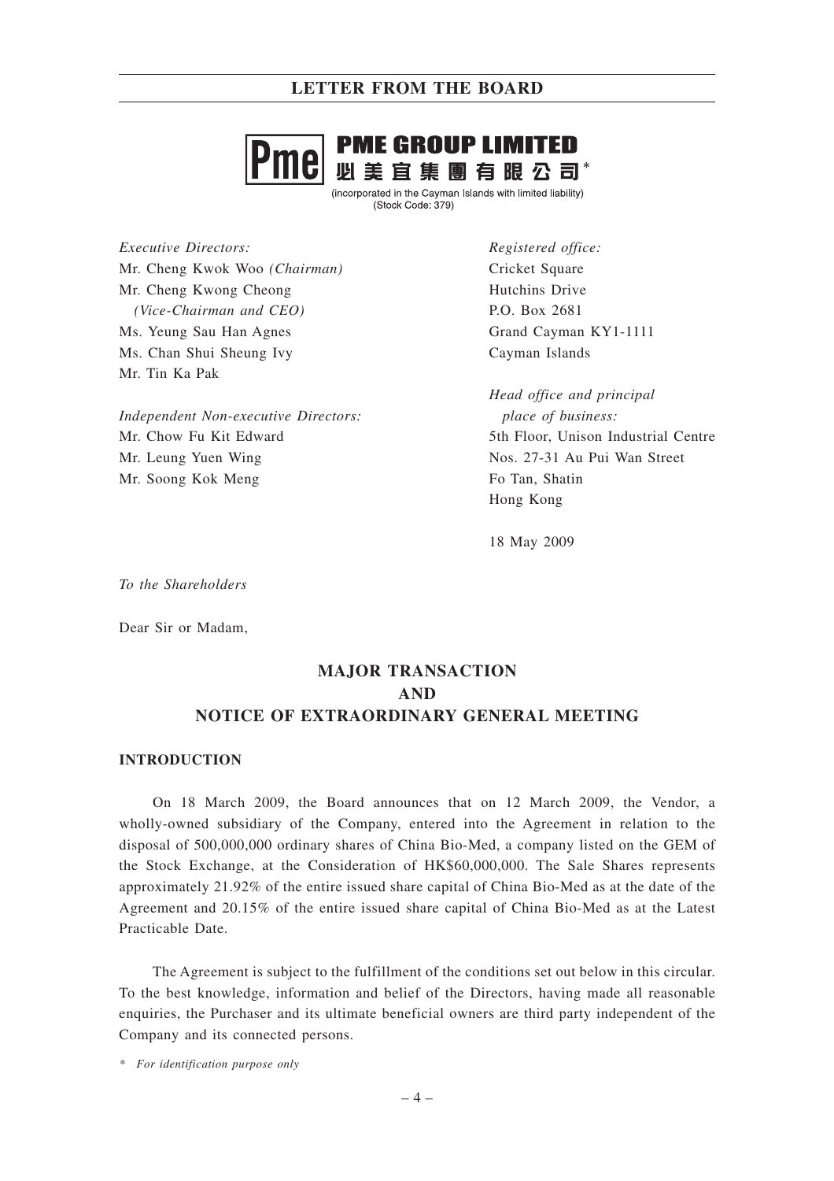# **PME GROUP LIMITED** 必美宜集團有眼公司\*

(incorporated in the Cayman Islands with limited liability) (Stock Code: 379)

*Executive Directors:* Mr. Cheng Kwok Woo *(Chairman)* Mr. Cheng Kwong Cheong *(Vice-Chairman and CEO)* Ms. Yeung Sau Han Agnes Ms. Chan Shui Sheung Ivy Mr. Tin Ka Pak

*Independent Non-executive Directors:* Mr. Chow Fu Kit Edward Mr. Leung Yuen Wing Mr. Soong Kok Meng

*Registered office:* Cricket Square Hutchins Drive P.O. Box 2681 Grand Cayman KY1-1111 Cayman Islands

*Head office and principal place of business:* 5th Floor, Unison Industrial Centre Nos. 27-31 Au Pui Wan Street Fo Tan, Shatin Hong Kong

18 May 2009

*To the Shareholders*

Dear Sir or Madam,

## **MAJOR TRANSACTION AND NOTICE OF EXTRAORDINARY GENERAL MEETING**

#### **INTRODUCTION**

On 18 March 2009, the Board announces that on 12 March 2009, the Vendor, a wholly-owned subsidiary of the Company, entered into the Agreement in relation to the disposal of 500,000,000 ordinary shares of China Bio-Med, a company listed on the GEM of the Stock Exchange, at the Consideration of HK\$60,000,000. The Sale Shares represents approximately 21.92% of the entire issued share capital of China Bio-Med as at the date of the Agreement and 20.15% of the entire issued share capital of China Bio-Med as at the Latest Practicable Date.

The Agreement is subject to the fulfillment of the conditions set out below in this circular. To the best knowledge, information and belief of the Directors, having made all reasonable enquiries, the Purchaser and its ultimate beneficial owners are third party independent of the Company and its connected persons.

*\* For identification purpose only*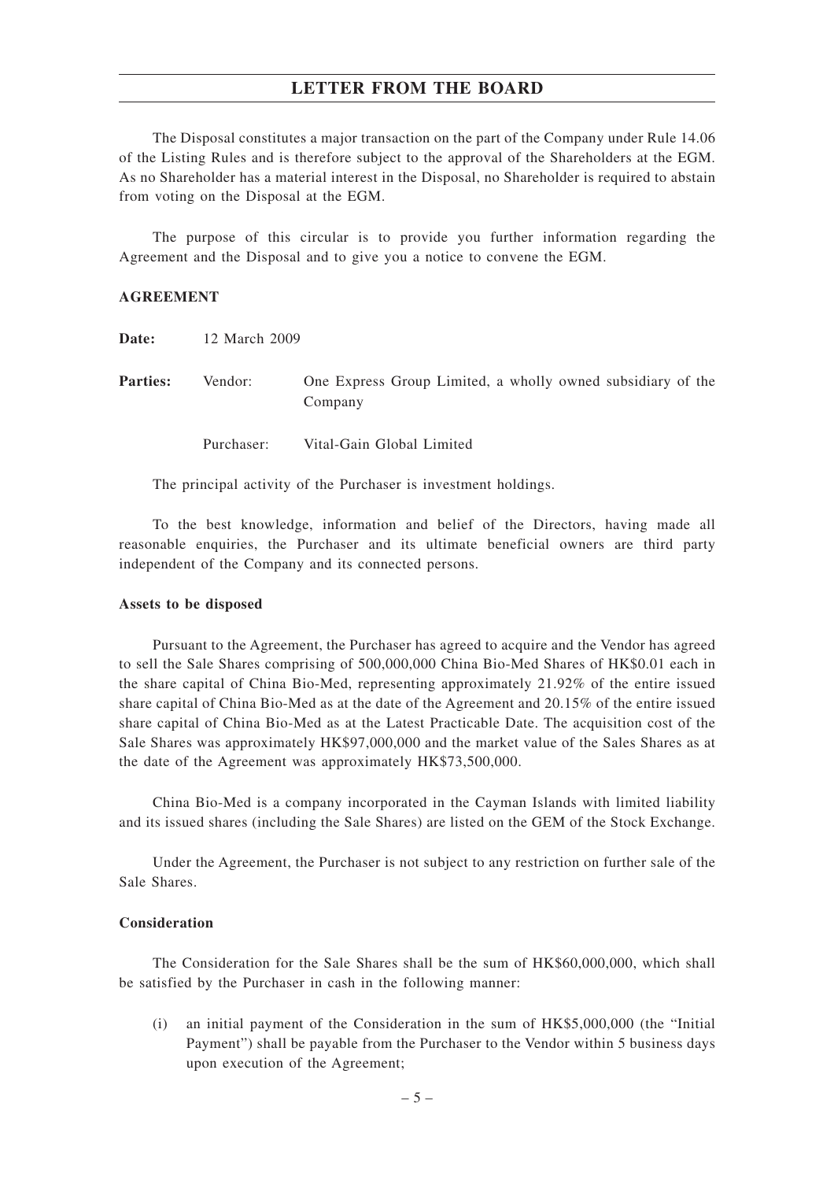The Disposal constitutes a major transaction on the part of the Company under Rule 14.06 of the Listing Rules and is therefore subject to the approval of the Shareholders at the EGM. As no Shareholder has a material interest in the Disposal, no Shareholder is required to abstain from voting on the Disposal at the EGM.

The purpose of this circular is to provide you further information regarding the Agreement and the Disposal and to give you a notice to convene the EGM.

#### **AGREEMENT**

| Date:           | 12 March 2009 |                                                                        |
|-----------------|---------------|------------------------------------------------------------------------|
| <b>Parties:</b> | Vendor:       | One Express Group Limited, a wholly owned subsidiary of the<br>Company |
|                 | Purchaser:    | Vital-Gain Global Limited                                              |

The principal activity of the Purchaser is investment holdings.

To the best knowledge, information and belief of the Directors, having made all reasonable enquiries, the Purchaser and its ultimate beneficial owners are third party independent of the Company and its connected persons.

#### **Assets to be disposed**

Pursuant to the Agreement, the Purchaser has agreed to acquire and the Vendor has agreed to sell the Sale Shares comprising of 500,000,000 China Bio-Med Shares of HK\$0.01 each in the share capital of China Bio-Med, representing approximately 21.92% of the entire issued share capital of China Bio-Med as at the date of the Agreement and 20.15% of the entire issued share capital of China Bio-Med as at the Latest Practicable Date. The acquisition cost of the Sale Shares was approximately HK\$97,000,000 and the market value of the Sales Shares as at the date of the Agreement was approximately HK\$73,500,000.

China Bio-Med is a company incorporated in the Cayman Islands with limited liability and its issued shares (including the Sale Shares) are listed on the GEM of the Stock Exchange.

Under the Agreement, the Purchaser is not subject to any restriction on further sale of the Sale Shares.

#### **Consideration**

The Consideration for the Sale Shares shall be the sum of HK\$60,000,000, which shall be satisfied by the Purchaser in cash in the following manner:

(i) an initial payment of the Consideration in the sum of HK\$5,000,000 (the "Initial Payment") shall be payable from the Purchaser to the Vendor within 5 business days upon execution of the Agreement;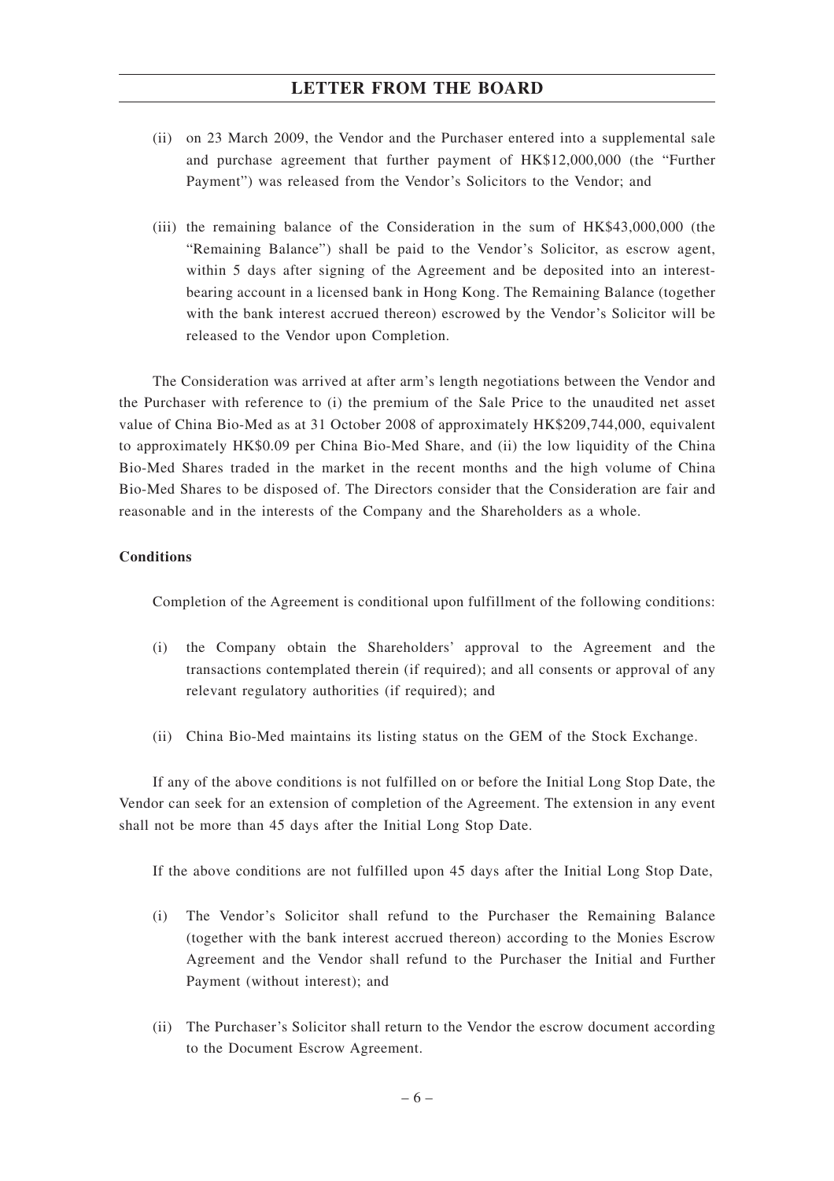- (ii) on 23 March 2009, the Vendor and the Purchaser entered into a supplemental sale and purchase agreement that further payment of HK\$12,000,000 (the "Further Payment") was released from the Vendor's Solicitors to the Vendor; and
- (iii) the remaining balance of the Consideration in the sum of HK\$43,000,000 (the "Remaining Balance") shall be paid to the Vendor's Solicitor, as escrow agent, within 5 days after signing of the Agreement and be deposited into an interestbearing account in a licensed bank in Hong Kong. The Remaining Balance (together with the bank interest accrued thereon) escrowed by the Vendor's Solicitor will be released to the Vendor upon Completion.

The Consideration was arrived at after arm's length negotiations between the Vendor and the Purchaser with reference to (i) the premium of the Sale Price to the unaudited net asset value of China Bio-Med as at 31 October 2008 of approximately HK\$209,744,000, equivalent to approximately HK\$0.09 per China Bio-Med Share, and (ii) the low liquidity of the China Bio-Med Shares traded in the market in the recent months and the high volume of China Bio-Med Shares to be disposed of. The Directors consider that the Consideration are fair and reasonable and in the interests of the Company and the Shareholders as a whole.

#### **Conditions**

Completion of the Agreement is conditional upon fulfillment of the following conditions:

- (i) the Company obtain the Shareholders' approval to the Agreement and the transactions contemplated therein (if required); and all consents or approval of any relevant regulatory authorities (if required); and
- (ii) China Bio-Med maintains its listing status on the GEM of the Stock Exchange.

If any of the above conditions is not fulfilled on or before the Initial Long Stop Date, the Vendor can seek for an extension of completion of the Agreement. The extension in any event shall not be more than 45 days after the Initial Long Stop Date.

If the above conditions are not fulfilled upon 45 days after the Initial Long Stop Date,

- (i) The Vendor's Solicitor shall refund to the Purchaser the Remaining Balance (together with the bank interest accrued thereon) according to the Monies Escrow Agreement and the Vendor shall refund to the Purchaser the Initial and Further Payment (without interest); and
- (ii) The Purchaser's Solicitor shall return to the Vendor the escrow document according to the Document Escrow Agreement.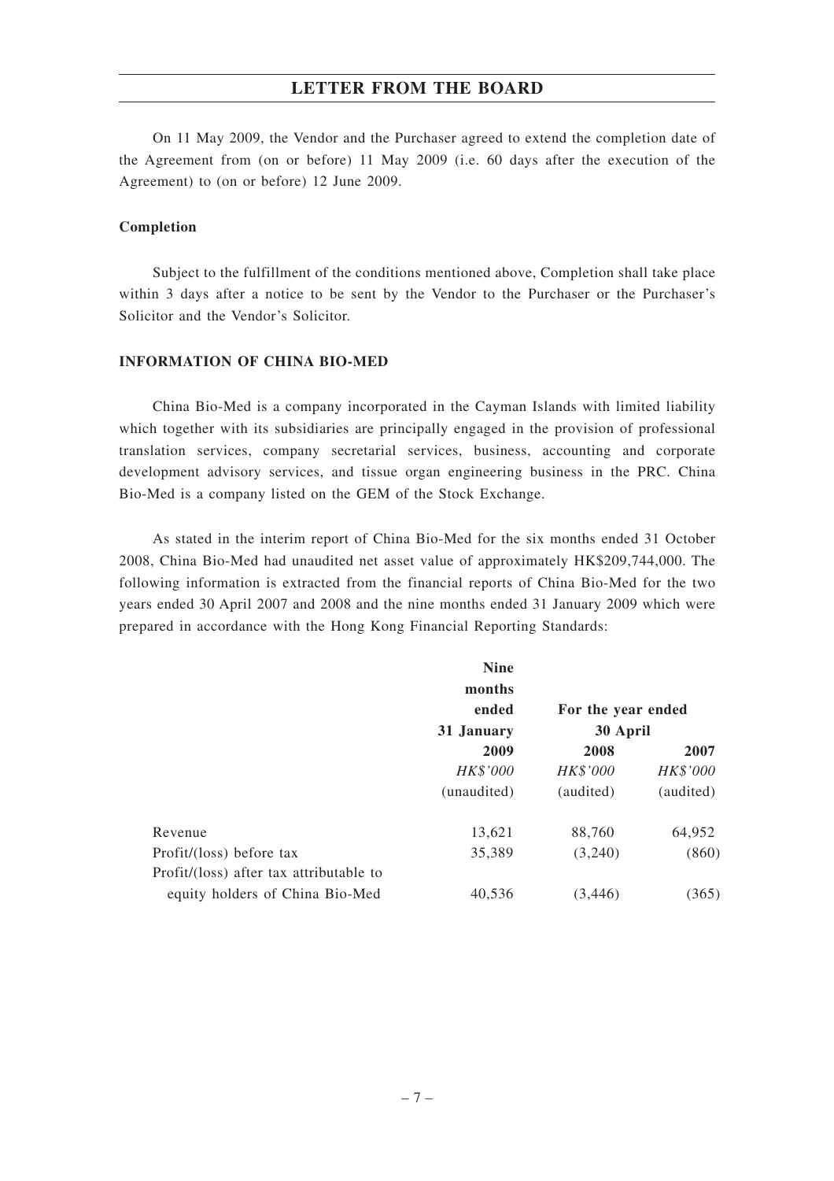On 11 May 2009, the Vendor and the Purchaser agreed to extend the completion date of the Agreement from (on or before) 11 May 2009 (i.e. 60 days after the execution of the Agreement) to (on or before) 12 June 2009.

#### **Completion**

Subject to the fulfillment of the conditions mentioned above, Completion shall take place within 3 days after a notice to be sent by the Vendor to the Purchaser or the Purchaser's Solicitor and the Vendor's Solicitor.

#### **INFORMATION OF CHINA BIO-MED**

China Bio-Med is a company incorporated in the Cayman Islands with limited liability which together with its subsidiaries are principally engaged in the provision of professional translation services, company secretarial services, business, accounting and corporate development advisory services, and tissue organ engineering business in the PRC. China Bio-Med is a company listed on the GEM of the Stock Exchange.

As stated in the interim report of China Bio-Med for the six months ended 31 October 2008, China Bio-Med had unaudited net asset value of approximately HK\$209,744,000. The following information is extracted from the financial reports of China Bio-Med for the two years ended 30 April 2007 and 2008 and the nine months ended 31 January 2009 which were prepared in accordance with the Hong Kong Financial Reporting Standards:

|                                         | <b>Nine</b> |                    |           |
|-----------------------------------------|-------------|--------------------|-----------|
|                                         | months      |                    |           |
|                                         | ended       | For the year ended |           |
|                                         | 31 January  | 30 April           |           |
|                                         | 2009        | 2008               | 2007      |
|                                         | HK\$'000    | HK\$'000           | HK\$'000  |
|                                         | (unaudited) | (audited)          | (audited) |
| Revenue                                 | 13,621      | 88,760             | 64,952    |
| Profit/(loss) before tax                | 35,389      | (3,240)            | (860)     |
| Profit/(loss) after tax attributable to |             |                    |           |
| equity holders of China Bio-Med         | 40,536      | (3,446)            | (365)     |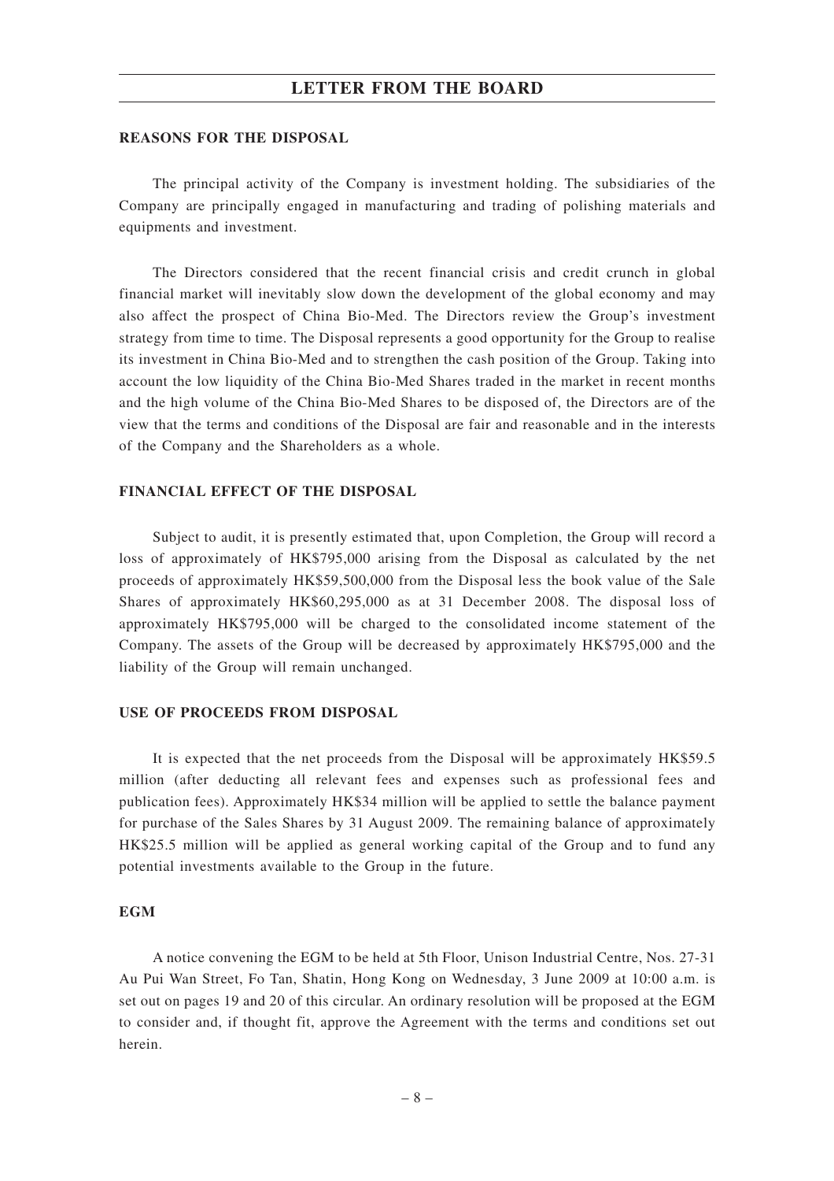#### **REASONS FOR THE DISPOSAL**

The principal activity of the Company is investment holding. The subsidiaries of the Company are principally engaged in manufacturing and trading of polishing materials and equipments and investment.

The Directors considered that the recent financial crisis and credit crunch in global financial market will inevitably slow down the development of the global economy and may also affect the prospect of China Bio-Med. The Directors review the Group's investment strategy from time to time. The Disposal represents a good opportunity for the Group to realise its investment in China Bio-Med and to strengthen the cash position of the Group. Taking into account the low liquidity of the China Bio-Med Shares traded in the market in recent months and the high volume of the China Bio-Med Shares to be disposed of, the Directors are of the view that the terms and conditions of the Disposal are fair and reasonable and in the interests of the Company and the Shareholders as a whole.

#### **FINANCIAL EFFECT OF THE DISPOSAL**

Subject to audit, it is presently estimated that, upon Completion, the Group will record a loss of approximately of HK\$795,000 arising from the Disposal as calculated by the net proceeds of approximately HK\$59,500,000 from the Disposal less the book value of the Sale Shares of approximately HK\$60,295,000 as at 31 December 2008. The disposal loss of approximately HK\$795,000 will be charged to the consolidated income statement of the Company. The assets of the Group will be decreased by approximately HK\$795,000 and the liability of the Group will remain unchanged.

#### **USE OF PROCEEDS FROM DISPOSAL**

It is expected that the net proceeds from the Disposal will be approximately HK\$59.5 million (after deducting all relevant fees and expenses such as professional fees and publication fees). Approximately HK\$34 million will be applied to settle the balance payment for purchase of the Sales Shares by 31 August 2009. The remaining balance of approximately HK\$25.5 million will be applied as general working capital of the Group and to fund any potential investments available to the Group in the future.

#### **EGM**

A notice convening the EGM to be held at 5th Floor, Unison Industrial Centre, Nos. 27-31 Au Pui Wan Street, Fo Tan, Shatin, Hong Kong on Wednesday, 3 June 2009 at 10:00 a.m. is set out on pages 19 and 20 of this circular. An ordinary resolution will be proposed at the EGM to consider and, if thought fit, approve the Agreement with the terms and conditions set out herein.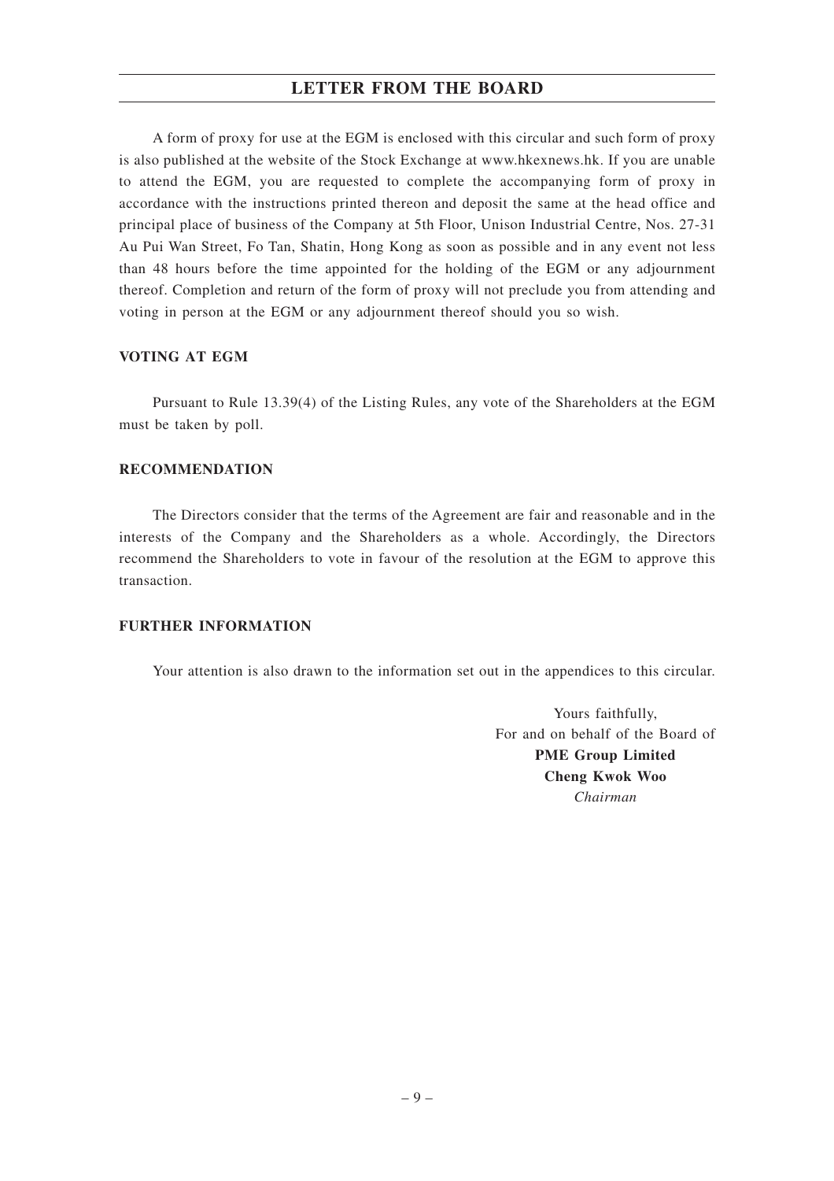A form of proxy for use at the EGM is enclosed with this circular and such form of proxy is also published at the website of the Stock Exchange at www.hkexnews.hk. If you are unable to attend the EGM, you are requested to complete the accompanying form of proxy in accordance with the instructions printed thereon and deposit the same at the head office and principal place of business of the Company at 5th Floor, Unison Industrial Centre, Nos. 27-31 Au Pui Wan Street, Fo Tan, Shatin, Hong Kong as soon as possible and in any event not less than 48 hours before the time appointed for the holding of the EGM or any adjournment thereof. Completion and return of the form of proxy will not preclude you from attending and voting in person at the EGM or any adjournment thereof should you so wish.

### **VOTING AT EGM**

Pursuant to Rule 13.39(4) of the Listing Rules, any vote of the Shareholders at the EGM must be taken by poll.

#### **RECOMMENDATION**

The Directors consider that the terms of the Agreement are fair and reasonable and in the interests of the Company and the Shareholders as a whole. Accordingly, the Directors recommend the Shareholders to vote in favour of the resolution at the EGM to approve this transaction.

### **FURTHER INFORMATION**

Your attention is also drawn to the information set out in the appendices to this circular.

Yours faithfully, For and on behalf of the Board of **PME Group Limited Cheng Kwok Woo** *Chairman*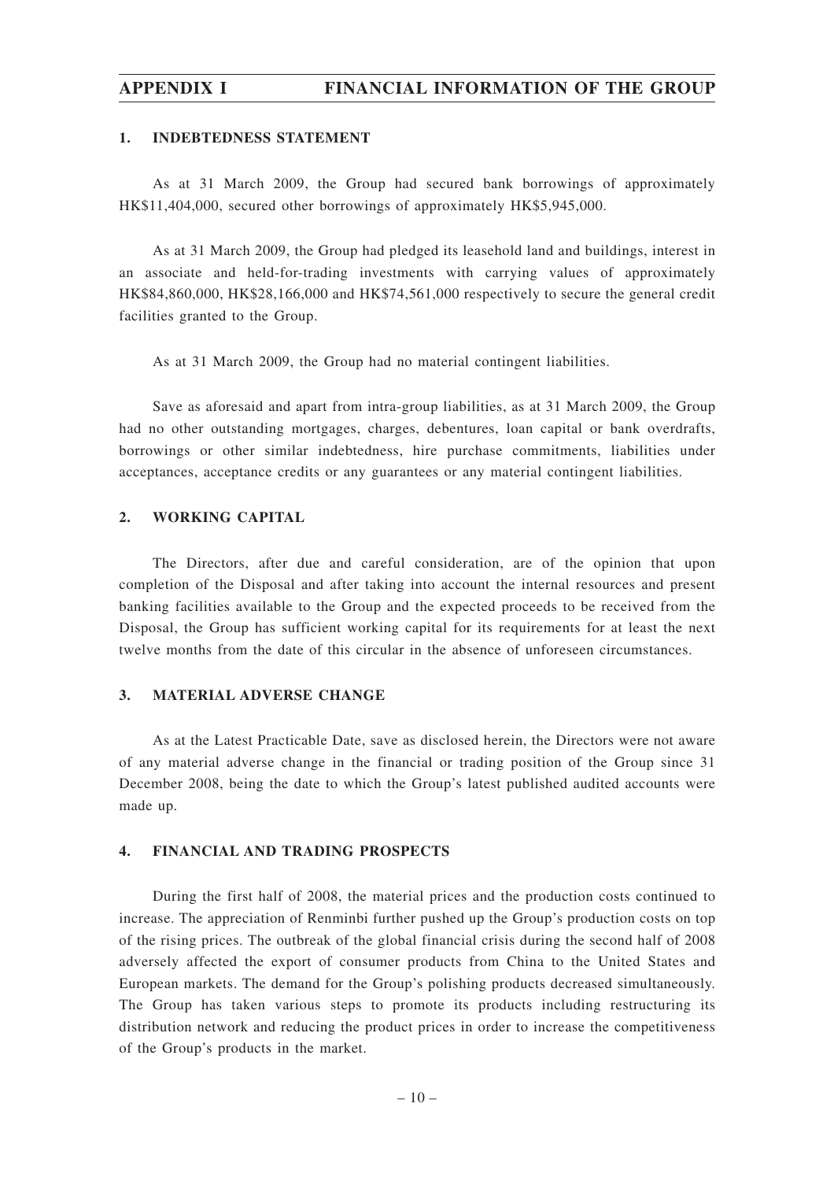## **APPENDIX I FINANCIAL INFORMATION OF THE GROUP**

#### **1. INDEBTEDNESS STATEMENT**

As at 31 March 2009, the Group had secured bank borrowings of approximately HK\$11,404,000, secured other borrowings of approximately HK\$5,945,000.

As at 31 March 2009, the Group had pledged its leasehold land and buildings, interest in an associate and held-for-trading investments with carrying values of approximately HK\$84,860,000, HK\$28,166,000 and HK\$74,561,000 respectively to secure the general credit facilities granted to the Group.

As at 31 March 2009, the Group had no material contingent liabilities.

Save as aforesaid and apart from intra-group liabilities, as at 31 March 2009, the Group had no other outstanding mortgages, charges, debentures, loan capital or bank overdrafts, borrowings or other similar indebtedness, hire purchase commitments, liabilities under acceptances, acceptance credits or any guarantees or any material contingent liabilities.

#### **2. WORKING CAPITAL**

The Directors, after due and careful consideration, are of the opinion that upon completion of the Disposal and after taking into account the internal resources and present banking facilities available to the Group and the expected proceeds to be received from the Disposal, the Group has sufficient working capital for its requirements for at least the next twelve months from the date of this circular in the absence of unforeseen circumstances.

#### **3. MATERIAL ADVERSE CHANGE**

As at the Latest Practicable Date, save as disclosed herein, the Directors were not aware of any material adverse change in the financial or trading position of the Group since 31 December 2008, being the date to which the Group's latest published audited accounts were made up.

#### **4. FINANCIAL AND TRADING PROSPECTS**

During the first half of 2008, the material prices and the production costs continued to increase. The appreciation of Renminbi further pushed up the Group's production costs on top of the rising prices. The outbreak of the global financial crisis during the second half of 2008 adversely affected the export of consumer products from China to the United States and European markets. The demand for the Group's polishing products decreased simultaneously. The Group has taken various steps to promote its products including restructuring its distribution network and reducing the product prices in order to increase the competitiveness of the Group's products in the market.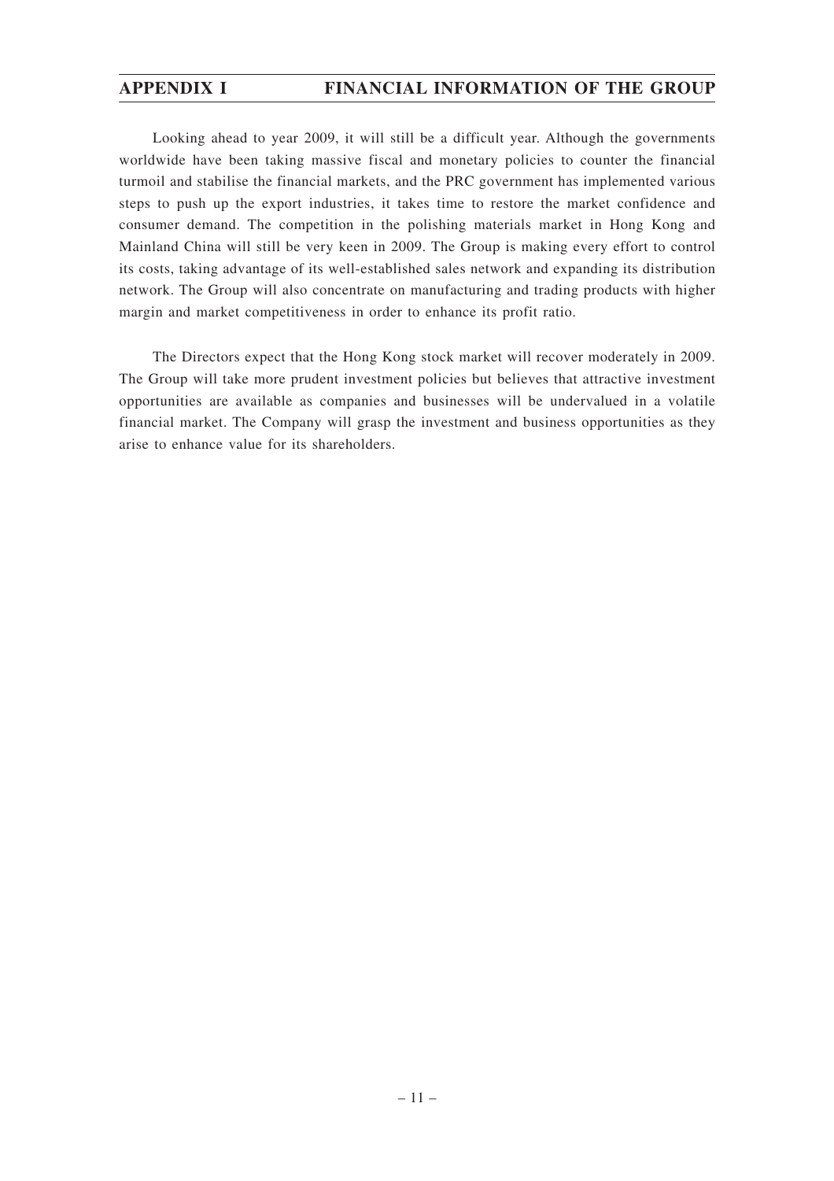## **APPENDIX I FINANCIAL INFORMATION OF THE GROUP**

Looking ahead to year 2009, it will still be a difficult year. Although the governments worldwide have been taking massive fiscal and monetary policies to counter the financial turmoil and stabilise the financial markets, and the PRC government has implemented various steps to push up the export industries, it takes time to restore the market confidence and consumer demand. The competition in the polishing materials market in Hong Kong and Mainland China will still be very keen in 2009. The Group is making every effort to control its costs, taking advantage of its well-established sales network and expanding its distribution network. The Group will also concentrate on manufacturing and trading products with higher margin and market competitiveness in order to enhance its profit ratio.

The Directors expect that the Hong Kong stock market will recover moderately in 2009. The Group will take more prudent investment policies but believes that attractive investment opportunities are available as companies and businesses will be undervalued in a volatile financial market. The Company will grasp the investment and business opportunities as they arise to enhance value for its shareholders.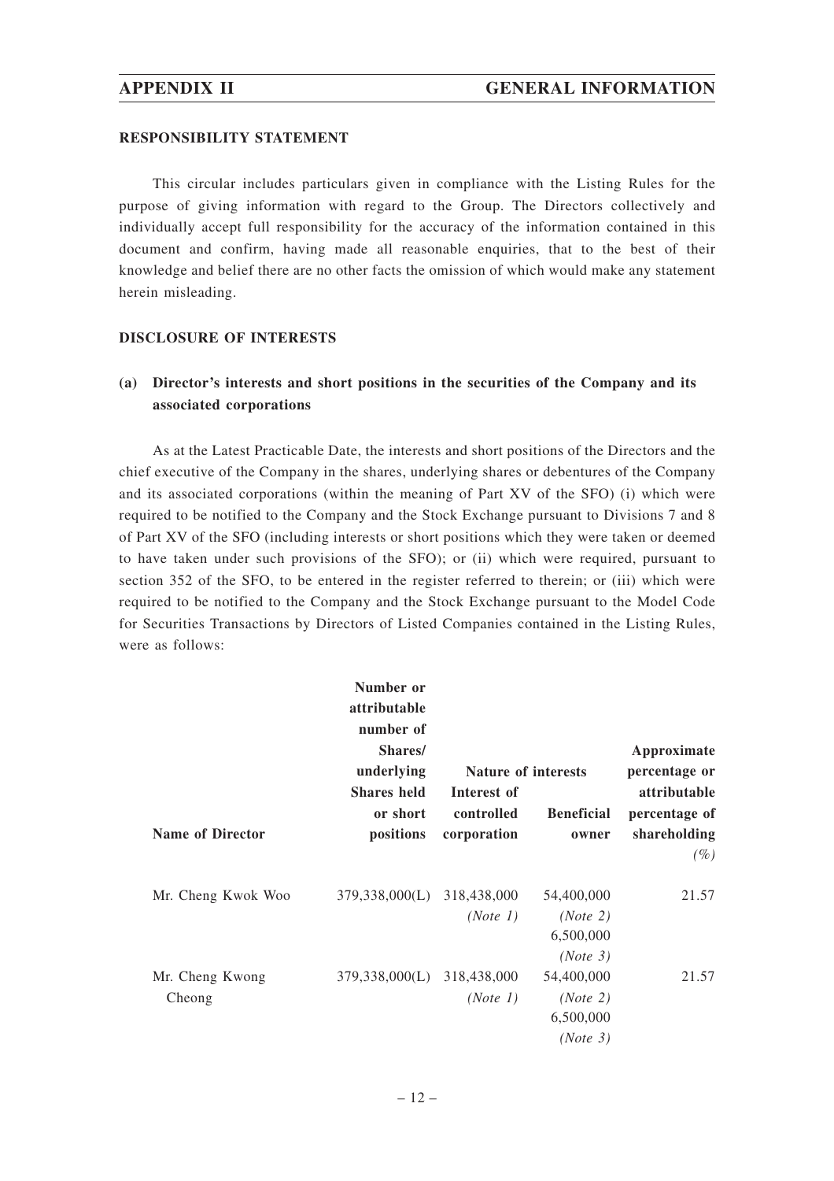#### **RESPONSIBILITY STATEMENT**

This circular includes particulars given in compliance with the Listing Rules for the purpose of giving information with regard to the Group. The Directors collectively and individually accept full responsibility for the accuracy of the information contained in this document and confirm, having made all reasonable enquiries, that to the best of their knowledge and belief there are no other facts the omission of which would make any statement herein misleading.

#### **DISCLOSURE OF INTERESTS**

## **(a) Director's interests and short positions in the securities of the Company and its associated corporations**

As at the Latest Practicable Date, the interests and short positions of the Directors and the chief executive of the Company in the shares, underlying shares or debentures of the Company and its associated corporations (within the meaning of Part XV of the SFO) (i) which were required to be notified to the Company and the Stock Exchange pursuant to Divisions 7 and 8 of Part XV of the SFO (including interests or short positions which they were taken or deemed to have taken under such provisions of the SFO); or (ii) which were required, pursuant to section 352 of the SFO, to be entered in the register referred to therein; or (iii) which were required to be notified to the Company and the Stock Exchange pursuant to the Model Code for Securities Transactions by Directors of Listed Companies contained in the Listing Rules, were as follows:

|                           | Number or<br>attributable<br>number of      |                                          |                                                             |                                                         |
|---------------------------|---------------------------------------------|------------------------------------------|-------------------------------------------------------------|---------------------------------------------------------|
|                           | Shares/<br>underlying                       | Nature of interests                      |                                                             | Approximate<br>percentage or                            |
| <b>Name of Director</b>   | <b>Shares</b> held<br>or short<br>positions | Interest of<br>controlled<br>corporation | <b>Beneficial</b><br>owner                                  | attributable<br>percentage of<br>shareholding<br>$(\%)$ |
| Mr. Cheng Kwok Woo        | 379,338,000(L)                              | 318,438,000<br>(Note 1)                  | 54,400,000<br>(Note 2)<br>6,500,000                         | 21.57                                                   |
| Mr. Cheng Kwong<br>Cheong | 379,338,000(L) 318,438,000                  | (Note 1)                                 | (Note 3)<br>54,400,000<br>(Note 2)<br>6,500,000<br>(Note 3) | 21.57                                                   |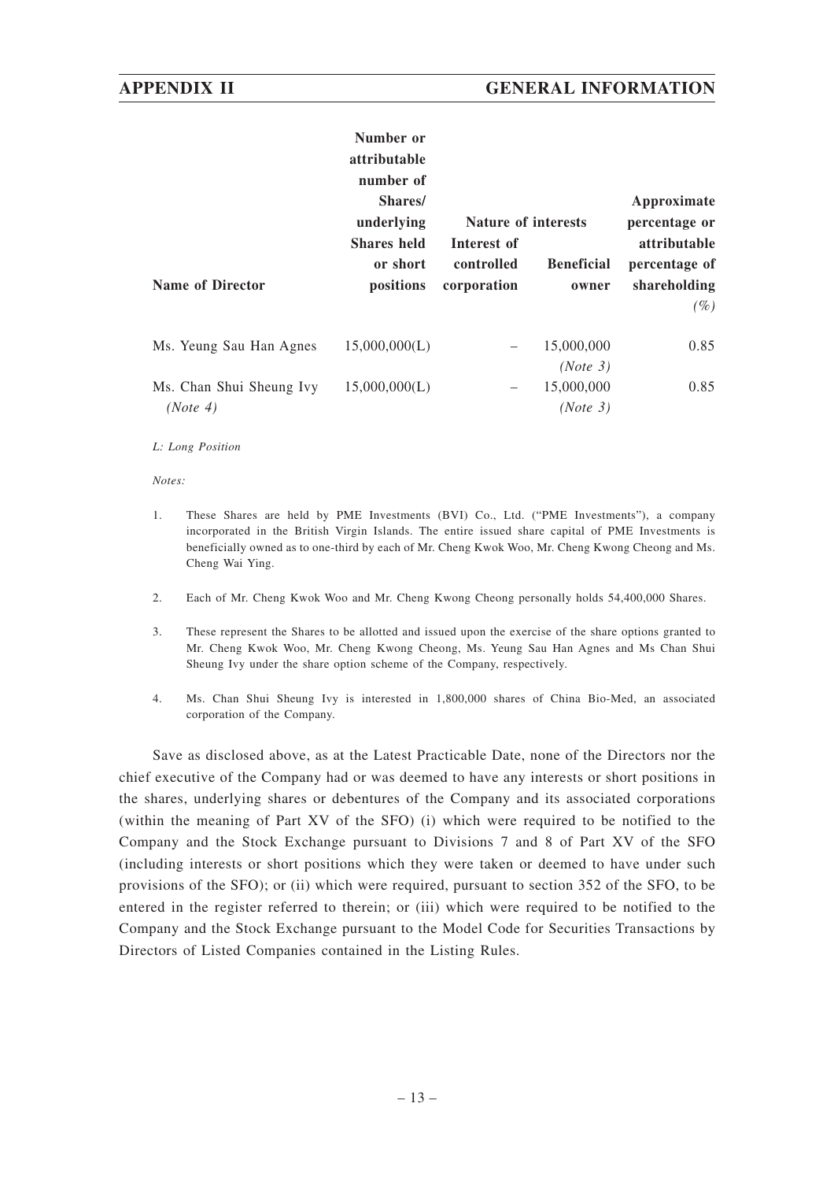|                                      | Number or<br>attributable<br>number of<br>Shares/ |                                                         |                        | Approximate                                    |
|--------------------------------------|---------------------------------------------------|---------------------------------------------------------|------------------------|------------------------------------------------|
|                                      | underlying<br><b>Shares</b> held<br>or short      | <b>Nature of interests</b><br>Interest of<br>controlled | <b>Beneficial</b>      | percentage or<br>attributable<br>percentage of |
| Name of Director                     | positions                                         | corporation                                             | owner                  | shareholding<br>$(\%)$                         |
| Ms. Yeung Sau Han Agnes              | 15,000,000(L)                                     |                                                         | 15,000,000<br>(Note 3) | 0.85                                           |
| Ms. Chan Shui Sheung Ivy<br>(Note 4) | 15,000,000(L)                                     |                                                         | 15,000,000<br>(Note 3) | 0.85                                           |

#### *L: Long Position*

*Notes:*

- 1. These Shares are held by PME Investments (BVI) Co., Ltd. ("PME Investments"), a company incorporated in the British Virgin Islands. The entire issued share capital of PME Investments is beneficially owned as to one-third by each of Mr. Cheng Kwok Woo, Mr. Cheng Kwong Cheong and Ms. Cheng Wai Ying.
- 2. Each of Mr. Cheng Kwok Woo and Mr. Cheng Kwong Cheong personally holds 54,400,000 Shares.
- 3. These represent the Shares to be allotted and issued upon the exercise of the share options granted to Mr. Cheng Kwok Woo, Mr. Cheng Kwong Cheong, Ms. Yeung Sau Han Agnes and Ms Chan Shui Sheung Ivy under the share option scheme of the Company, respectively.
- 4. Ms. Chan Shui Sheung Ivy is interested in 1,800,000 shares of China Bio-Med, an associated corporation of the Company.

Save as disclosed above, as at the Latest Practicable Date, none of the Directors nor the chief executive of the Company had or was deemed to have any interests or short positions in the shares, underlying shares or debentures of the Company and its associated corporations (within the meaning of Part XV of the SFO) (i) which were required to be notified to the Company and the Stock Exchange pursuant to Divisions 7 and 8 of Part XV of the SFO (including interests or short positions which they were taken or deemed to have under such provisions of the SFO); or (ii) which were required, pursuant to section 352 of the SFO, to be entered in the register referred to therein; or (iii) which were required to be notified to the Company and the Stock Exchange pursuant to the Model Code for Securities Transactions by Directors of Listed Companies contained in the Listing Rules.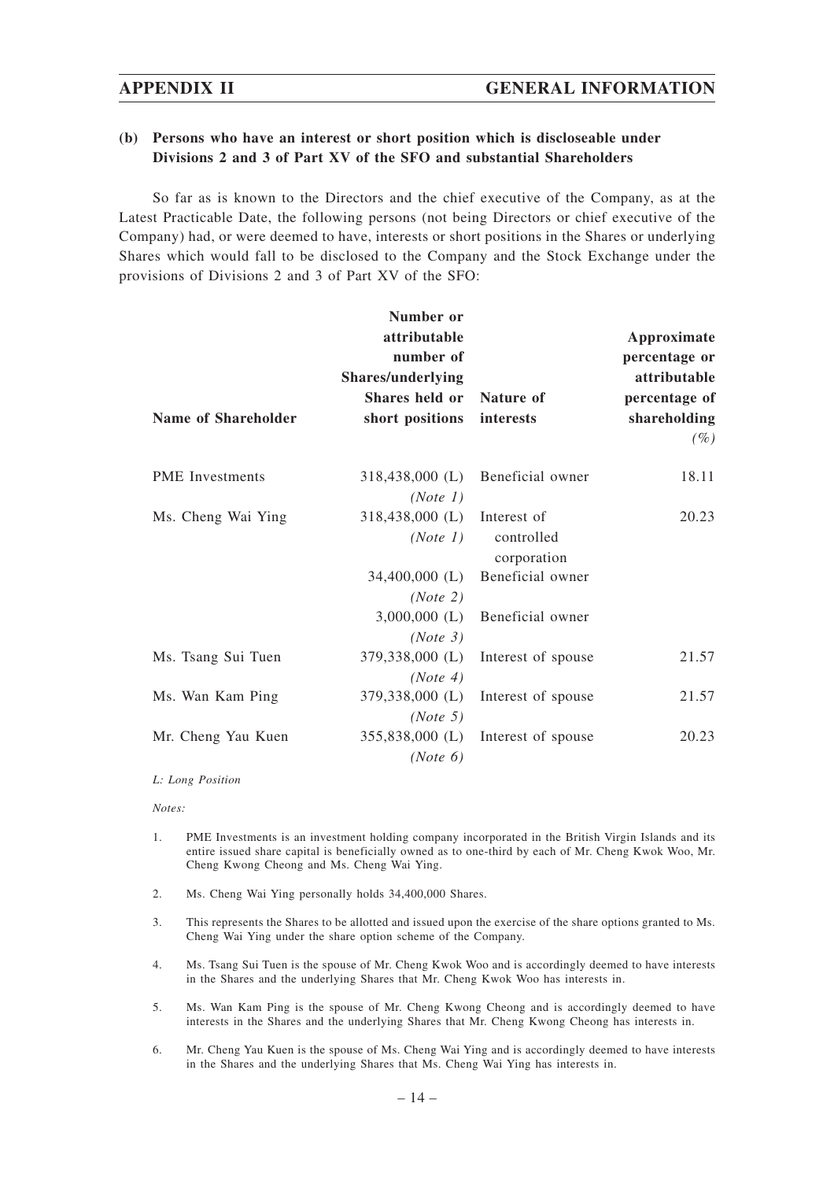### **(b) Persons who have an interest or short position which is discloseable under Divisions 2 and 3 of Part XV of the SFO and substantial Shareholders**

So far as is known to the Directors and the chief executive of the Company, as at the Latest Practicable Date, the following persons (not being Directors or chief executive of the Company) had, or were deemed to have, interests or short positions in the Shares or underlying Shares which would fall to be disclosed to the Company and the Stock Exchange under the provisions of Divisions 2 and 3 of Part XV of the SFO:

|                        | Number or         |                           |               |
|------------------------|-------------------|---------------------------|---------------|
|                        | attributable      |                           | Approximate   |
|                        | number of         |                           | percentage or |
|                        | Shares/underlying |                           | attributable  |
|                        | Shares held or    | Nature of                 | percentage of |
| Name of Shareholder    | short positions   | interests                 | shareholding  |
|                        |                   |                           | $(\%)$        |
| <b>PME</b> Investments | 318,438,000 (L)   | Beneficial owner          | 18.11         |
|                        | (Note 1)          |                           |               |
| Ms. Cheng Wai Ying     | 318,438,000 (L)   | Interest of               | 20.23         |
|                        | (Note 1)          | controlled<br>corporation |               |
|                        | 34,400,000 (L)    | Beneficial owner          |               |
|                        | (Note 2)          |                           |               |
|                        | $3,000,000$ (L)   | Beneficial owner          |               |
|                        | (Note 3)          |                           |               |
| Ms. Tsang Sui Tuen     | 379,338,000 (L)   | Interest of spouse        | 21.57         |
|                        | (Note 4)          |                           |               |
| Ms. Wan Kam Ping       | 379,338,000 (L)   | Interest of spouse        | 21.57         |
|                        | (Note 5)          |                           |               |
| Mr. Cheng Yau Kuen     | 355,838,000 (L)   | Interest of spouse        | 20.23         |
|                        | (Note 6)          |                           |               |

#### *L: Long Position*

#### *Notes:*

- 1. PME Investments is an investment holding company incorporated in the British Virgin Islands and its entire issued share capital is beneficially owned as to one-third by each of Mr. Cheng Kwok Woo, Mr. Cheng Kwong Cheong and Ms. Cheng Wai Ying.
- 2. Ms. Cheng Wai Ying personally holds 34,400,000 Shares.
- 3. This represents the Shares to be allotted and issued upon the exercise of the share options granted to Ms. Cheng Wai Ying under the share option scheme of the Company.
- 4. Ms. Tsang Sui Tuen is the spouse of Mr. Cheng Kwok Woo and is accordingly deemed to have interests in the Shares and the underlying Shares that Mr. Cheng Kwok Woo has interests in.
- 5. Ms. Wan Kam Ping is the spouse of Mr. Cheng Kwong Cheong and is accordingly deemed to have interests in the Shares and the underlying Shares that Mr. Cheng Kwong Cheong has interests in.
- 6. Mr. Cheng Yau Kuen is the spouse of Ms. Cheng Wai Ying and is accordingly deemed to have interests in the Shares and the underlying Shares that Ms. Cheng Wai Ying has interests in.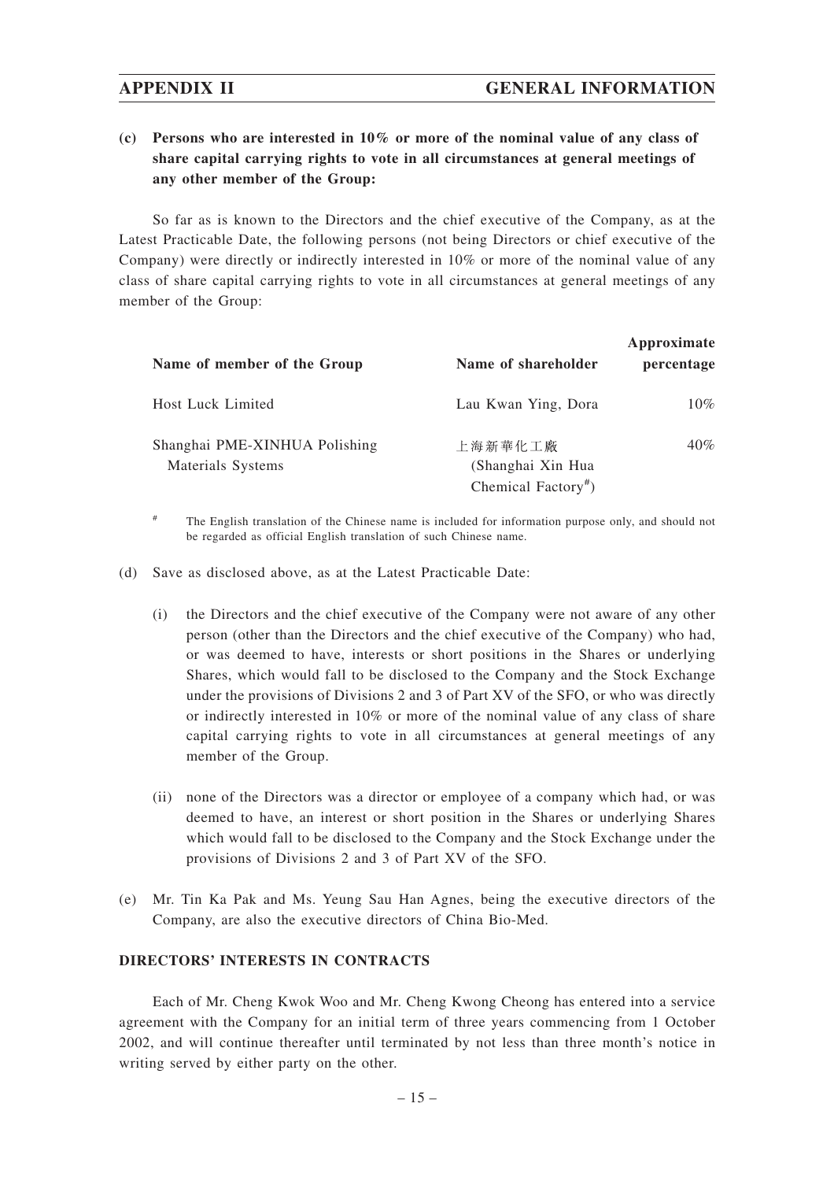## **(c) Persons who are interested in 10% or more of the nominal value of any class of share capital carrying rights to vote in all circumstances at general meetings of any other member of the Group:**

So far as is known to the Directors and the chief executive of the Company, as at the Latest Practicable Date, the following persons (not being Directors or chief executive of the Company) were directly or indirectly interested in 10% or more of the nominal value of any class of share capital carrying rights to vote in all circumstances at general meetings of any member of the Group:

| Name of member of the Group                        | Name of shareholder                                             | Approximate<br>percentage |
|----------------------------------------------------|-----------------------------------------------------------------|---------------------------|
| <b>Host Luck Limited</b>                           | Lau Kwan Ying, Dora                                             | $10\%$                    |
| Shanghai PME-XINHUA Polishing<br>Materials Systems | 上海新華化工廠<br>(Shanghai Xin Hua<br>Chemical Factory <sup>#</sup> ) | $40\%$                    |

# The English translation of the Chinese name is included for information purpose only, and should not be regarded as official English translation of such Chinese name.

(d) Save as disclosed above, as at the Latest Practicable Date:

- (i) the Directors and the chief executive of the Company were not aware of any other person (other than the Directors and the chief executive of the Company) who had, or was deemed to have, interests or short positions in the Shares or underlying Shares, which would fall to be disclosed to the Company and the Stock Exchange under the provisions of Divisions 2 and 3 of Part XV of the SFO, or who was directly or indirectly interested in 10% or more of the nominal value of any class of share capital carrying rights to vote in all circumstances at general meetings of any member of the Group.
- (ii) none of the Directors was a director or employee of a company which had, or was deemed to have, an interest or short position in the Shares or underlying Shares which would fall to be disclosed to the Company and the Stock Exchange under the provisions of Divisions 2 and 3 of Part XV of the SFO.
- (e) Mr. Tin Ka Pak and Ms. Yeung Sau Han Agnes, being the executive directors of the Company, are also the executive directors of China Bio-Med.

### **DIRECTORS' INTERESTS IN CONTRACTS**

Each of Mr. Cheng Kwok Woo and Mr. Cheng Kwong Cheong has entered into a service agreement with the Company for an initial term of three years commencing from 1 October 2002, and will continue thereafter until terminated by not less than three month's notice in writing served by either party on the other.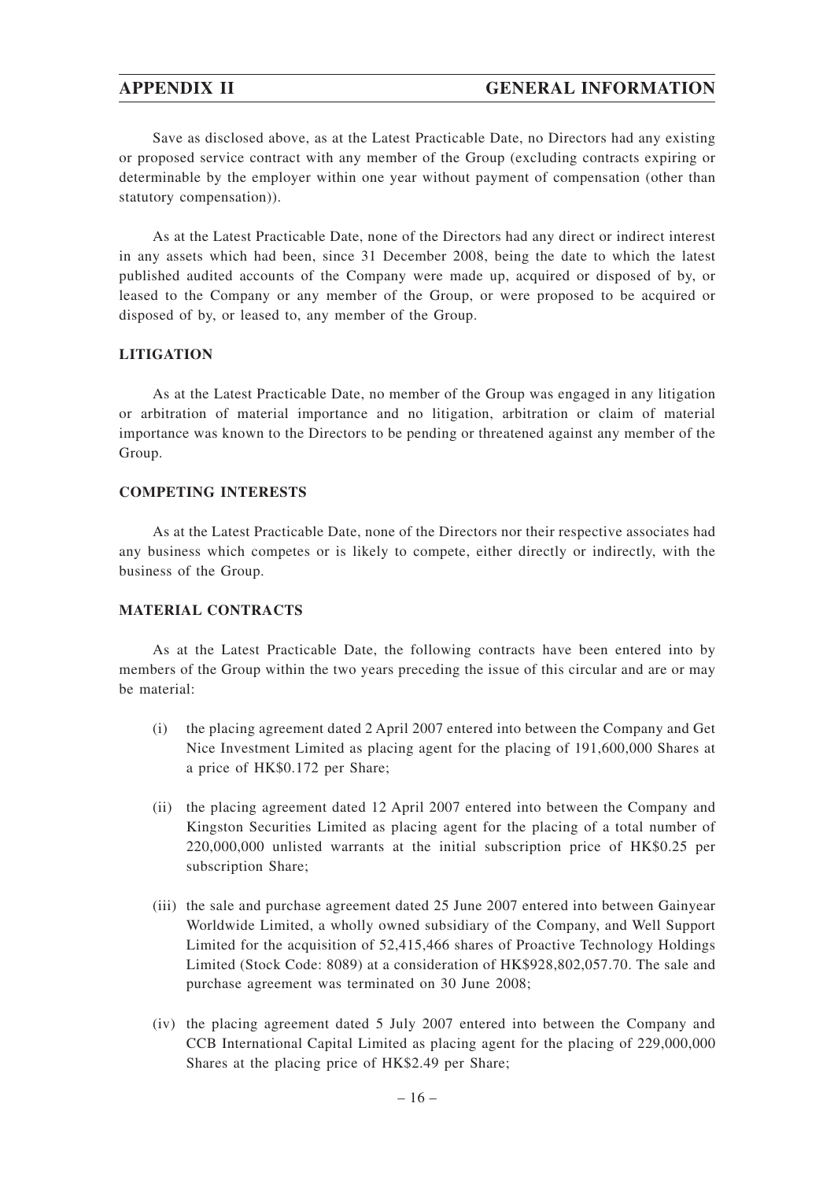## **APPENDIX II GENERAL INFORMATION**

Save as disclosed above, as at the Latest Practicable Date, no Directors had any existing or proposed service contract with any member of the Group (excluding contracts expiring or determinable by the employer within one year without payment of compensation (other than statutory compensation)).

As at the Latest Practicable Date, none of the Directors had any direct or indirect interest in any assets which had been, since 31 December 2008, being the date to which the latest published audited accounts of the Company were made up, acquired or disposed of by, or leased to the Company or any member of the Group, or were proposed to be acquired or disposed of by, or leased to, any member of the Group.

#### **LITIGATION**

As at the Latest Practicable Date, no member of the Group was engaged in any litigation or arbitration of material importance and no litigation, arbitration or claim of material importance was known to the Directors to be pending or threatened against any member of the Group.

#### **COMPETING INTERESTS**

As at the Latest Practicable Date, none of the Directors nor their respective associates had any business which competes or is likely to compete, either directly or indirectly, with the business of the Group.

#### **MATERIAL CONTRACTS**

As at the Latest Practicable Date, the following contracts have been entered into by members of the Group within the two years preceding the issue of this circular and are or may be material:

- (i) the placing agreement dated 2 April 2007 entered into between the Company and Get Nice Investment Limited as placing agent for the placing of 191,600,000 Shares at a price of HK\$0.172 per Share;
- (ii) the placing agreement dated 12 April 2007 entered into between the Company and Kingston Securities Limited as placing agent for the placing of a total number of 220,000,000 unlisted warrants at the initial subscription price of HK\$0.25 per subscription Share;
- (iii) the sale and purchase agreement dated 25 June 2007 entered into between Gainyear Worldwide Limited, a wholly owned subsidiary of the Company, and Well Support Limited for the acquisition of 52,415,466 shares of Proactive Technology Holdings Limited (Stock Code: 8089) at a consideration of HK\$928,802,057.70. The sale and purchase agreement was terminated on 30 June 2008;
- (iv) the placing agreement dated 5 July 2007 entered into between the Company and CCB International Capital Limited as placing agent for the placing of 229,000,000 Shares at the placing price of HK\$2.49 per Share;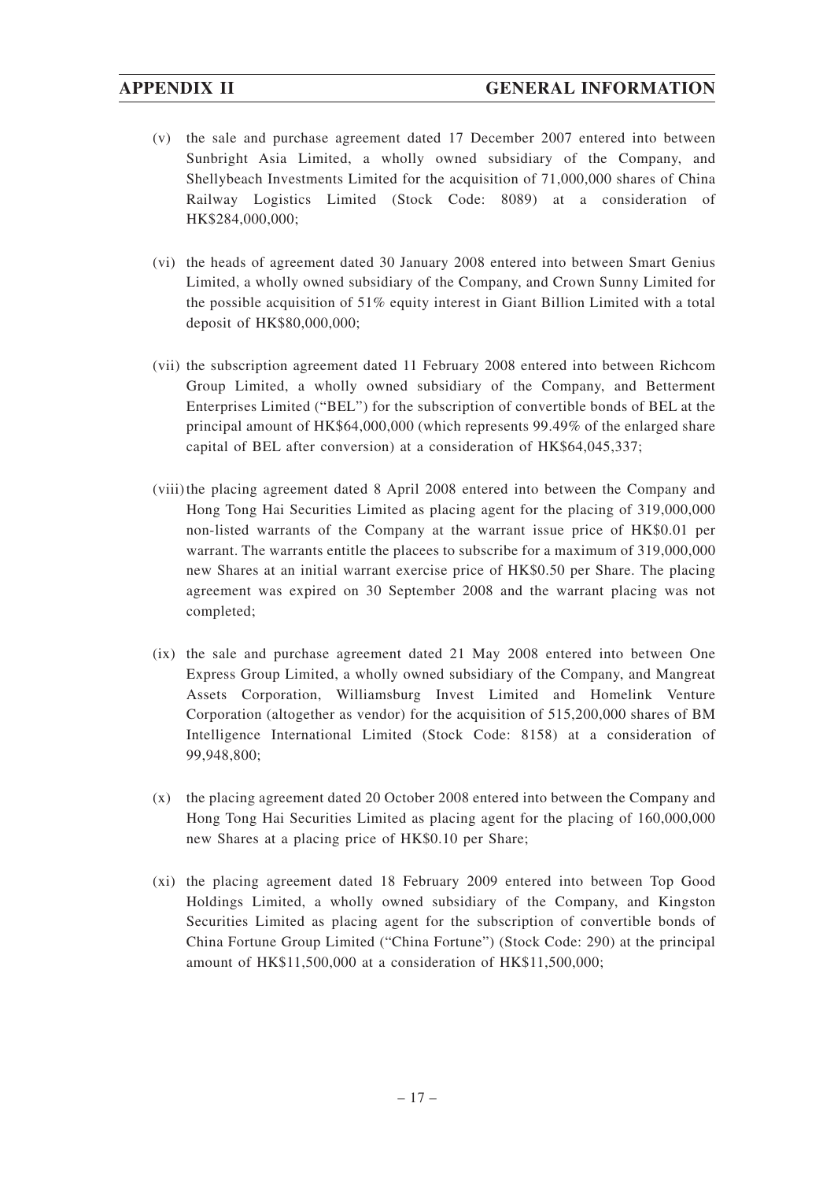- (v) the sale and purchase agreement dated 17 December 2007 entered into between Sunbright Asia Limited, a wholly owned subsidiary of the Company, and Shellybeach Investments Limited for the acquisition of 71,000,000 shares of China Railway Logistics Limited (Stock Code: 8089) at a consideration of HK\$284,000,000;
- (vi) the heads of agreement dated 30 January 2008 entered into between Smart Genius Limited, a wholly owned subsidiary of the Company, and Crown Sunny Limited for the possible acquisition of 51% equity interest in Giant Billion Limited with a total deposit of HK\$80,000,000;
- (vii) the subscription agreement dated 11 February 2008 entered into between Richcom Group Limited, a wholly owned subsidiary of the Company, and Betterment Enterprises Limited ("BEL") for the subscription of convertible bonds of BEL at the principal amount of HK\$64,000,000 (which represents 99.49% of the enlarged share capital of BEL after conversion) at a consideration of HK\$64,045,337;
- (viii)the placing agreement dated 8 April 2008 entered into between the Company and Hong Tong Hai Securities Limited as placing agent for the placing of 319,000,000 non-listed warrants of the Company at the warrant issue price of HK\$0.01 per warrant. The warrants entitle the placees to subscribe for a maximum of 319,000,000 new Shares at an initial warrant exercise price of HK\$0.50 per Share. The placing agreement was expired on 30 September 2008 and the warrant placing was not completed;
- (ix) the sale and purchase agreement dated 21 May 2008 entered into between One Express Group Limited, a wholly owned subsidiary of the Company, and Mangreat Assets Corporation, Williamsburg Invest Limited and Homelink Venture Corporation (altogether as vendor) for the acquisition of 515,200,000 shares of BM Intelligence International Limited (Stock Code: 8158) at a consideration of 99,948,800;
- (x) the placing agreement dated 20 October 2008 entered into between the Company and Hong Tong Hai Securities Limited as placing agent for the placing of 160,000,000 new Shares at a placing price of HK\$0.10 per Share;
- (xi) the placing agreement dated 18 February 2009 entered into between Top Good Holdings Limited, a wholly owned subsidiary of the Company, and Kingston Securities Limited as placing agent for the subscription of convertible bonds of China Fortune Group Limited ("China Fortune") (Stock Code: 290) at the principal amount of HK\$11,500,000 at a consideration of HK\$11,500,000;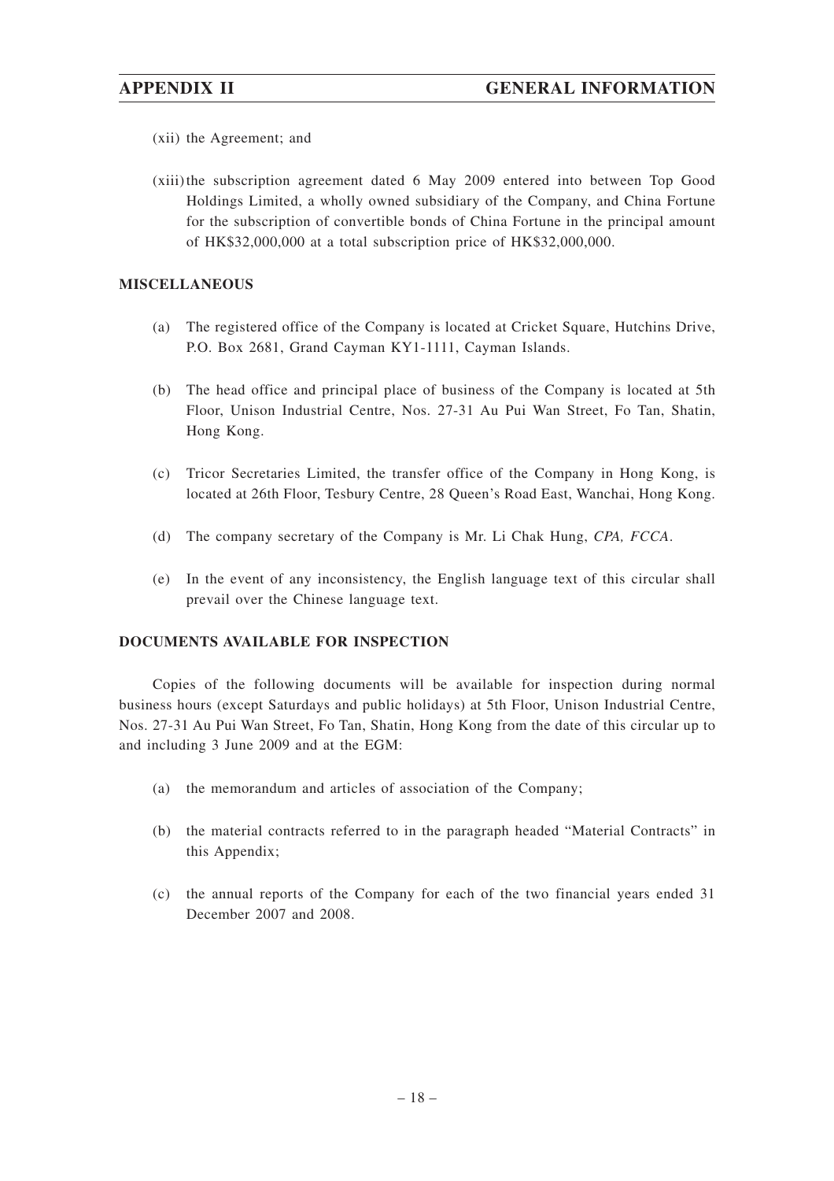- (xii) the Agreement; and
- (xiii)the subscription agreement dated 6 May 2009 entered into between Top Good Holdings Limited, a wholly owned subsidiary of the Company, and China Fortune for the subscription of convertible bonds of China Fortune in the principal amount of HK\$32,000,000 at a total subscription price of HK\$32,000,000.

#### **MISCELLANEOUS**

- (a) The registered office of the Company is located at Cricket Square, Hutchins Drive, P.O. Box 2681, Grand Cayman KY1-1111, Cayman Islands.
- (b) The head office and principal place of business of the Company is located at 5th Floor, Unison Industrial Centre, Nos. 27-31 Au Pui Wan Street, Fo Tan, Shatin, Hong Kong.
- (c) Tricor Secretaries Limited, the transfer office of the Company in Hong Kong, is located at 26th Floor, Tesbury Centre, 28 Queen's Road East, Wanchai, Hong Kong.
- (d) The company secretary of the Company is Mr. Li Chak Hung, *CPA, FCCA*.
- (e) In the event of any inconsistency, the English language text of this circular shall prevail over the Chinese language text.

### **DOCUMENTS AVAILABLE FOR INSPECTION**

Copies of the following documents will be available for inspection during normal business hours (except Saturdays and public holidays) at 5th Floor, Unison Industrial Centre, Nos. 27-31 Au Pui Wan Street, Fo Tan, Shatin, Hong Kong from the date of this circular up to and including 3 June 2009 and at the EGM:

- (a) the memorandum and articles of association of the Company;
- (b) the material contracts referred to in the paragraph headed "Material Contracts" in this Appendix;
- (c) the annual reports of the Company for each of the two financial years ended 31 December 2007 and 2008.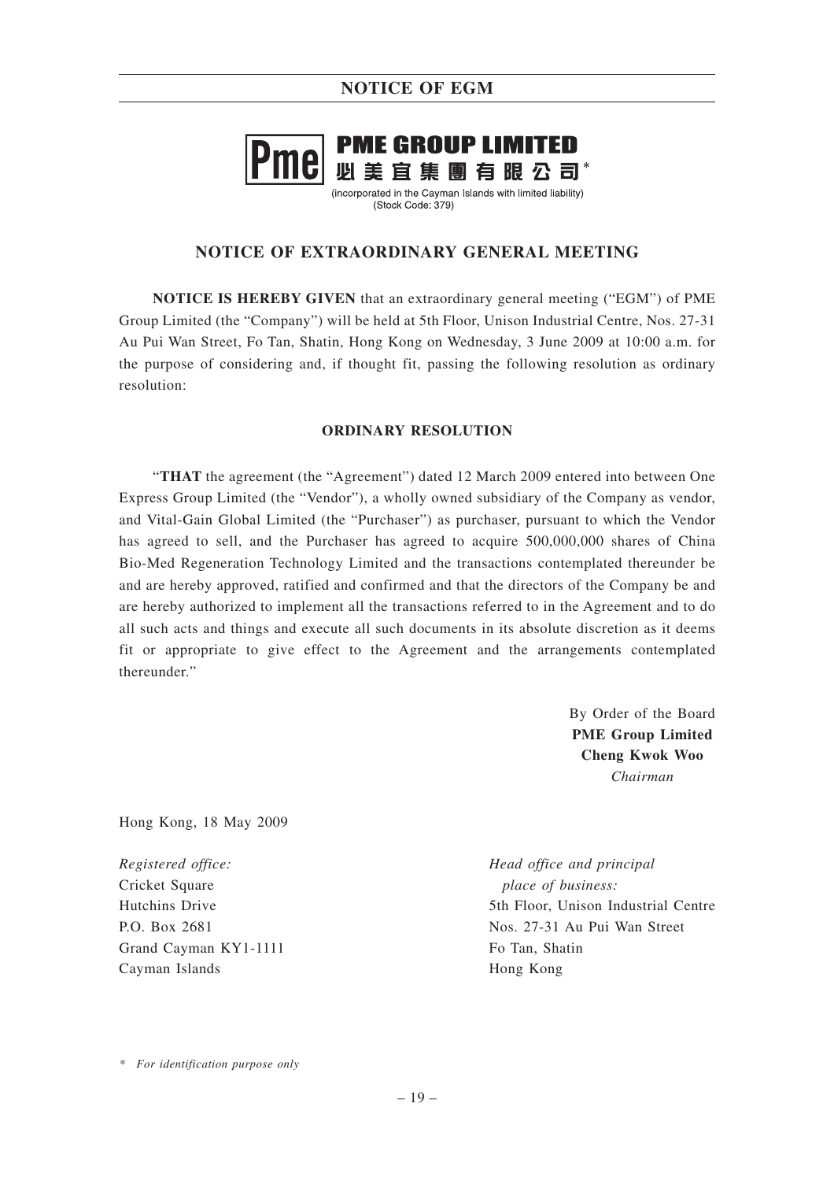# **PME GROUP LIMITED** 必美宜集團有眼公司\*

(incorporated in the Cayman Islands with limited liability) (Stock Code: 379)

## **NOTICE OF EXTRAORDINARY GENERAL MEETING**

**NOTICE IS HEREBY GIVEN** that an extraordinary general meeting ("EGM") of PME Group Limited (the "Company") will be held at 5th Floor, Unison Industrial Centre, Nos. 27-31 Au Pui Wan Street, Fo Tan, Shatin, Hong Kong on Wednesday, 3 June 2009 at 10:00 a.m. for the purpose of considering and, if thought fit, passing the following resolution as ordinary resolution:

### **ORDINARY RESOLUTION**

"**THAT** the agreement (the "Agreement") dated 12 March 2009 entered into between One Express Group Limited (the "Vendor"), a wholly owned subsidiary of the Company as vendor, and Vital-Gain Global Limited (the "Purchaser") as purchaser, pursuant to which the Vendor has agreed to sell, and the Purchaser has agreed to acquire 500,000,000 shares of China Bio-Med Regeneration Technology Limited and the transactions contemplated thereunder be and are hereby approved, ratified and confirmed and that the directors of the Company be and are hereby authorized to implement all the transactions referred to in the Agreement and to do all such acts and things and execute all such documents in its absolute discretion as it deems fit or appropriate to give effect to the Agreement and the arrangements contemplated thereunder."

> By Order of the Board **PME Group Limited Cheng Kwok Woo** *Chairman*

Hong Kong, 18 May 2009

*Registered office:* Cricket Square Hutchins Drive P.O. Box 2681 Grand Cayman KY1-1111 Cayman Islands

*Head office and principal place of business:* 5th Floor, Unison Industrial Centre Nos. 27-31 Au Pui Wan Street Fo Tan, Shatin Hong Kong

*\* For identification purpose only*